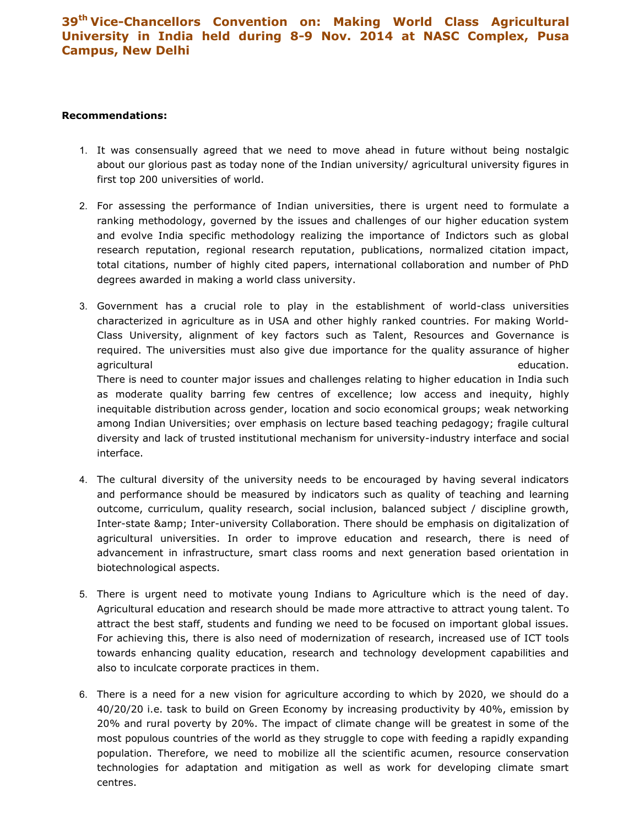## 39th Vice-Chancellors Convention on: Making World Class Agricultural University in India held during 8-9 Nov. 2014 at NASC Complex, Pusa Campus, New Delhi

## Recommendations:

- 1. It was consensually agreed that we need to move ahead in future without being nostalgic about our glorious past as today none of the Indian university/ agricultural university figures in first top 200 universities of world.
- 2. For assessing the performance of Indian universities, there is urgent need to formulate a ranking methodology, governed by the issues and challenges of our higher education system and evolve India specific methodology realizing the importance of Indictors such as global research reputation, regional research reputation, publications, normalized citation impact, total citations, number of highly cited papers, international collaboration and number of PhD degrees awarded in making a world class university.
- 3. Government has a crucial role to play in the establishment of world-class universities characterized in agriculture as in USA and other highly ranked countries. For making World-Class University, alignment of key factors such as Talent, Resources and Governance is required. The universities must also give due importance for the quality assurance of higher agricultural education. The contraction of the contraction of the contraction of the contraction of the contraction. There is need to counter major issues and challenges relating to higher education in India such as moderate quality barring few centres of excellence; low access and inequity, highly inequitable distribution across gender, location and socio economical groups; weak networking among Indian Universities; over emphasis on lecture based teaching pedagogy; fragile cultural diversity and lack of trusted institutional mechanism for university-industry interface and social interface.
- 4. The cultural diversity of the university needs to be encouraged by having several indicators and performance should be measured by indicators such as quality of teaching and learning outcome, curriculum, quality research, social inclusion, balanced subject / discipline growth, Inter-state & amp; Inter-university Collaboration. There should be emphasis on digitalization of agricultural universities. In order to improve education and research, there is need of advancement in infrastructure, smart class rooms and next generation based orientation in biotechnological aspects.
- 5. There is urgent need to motivate young Indians to Agriculture which is the need of day. Agricultural education and research should be made more attractive to attract young talent. To attract the best staff, students and funding we need to be focused on important global issues. For achieving this, there is also need of modernization of research, increased use of ICT tools towards enhancing quality education, research and technology development capabilities and also to inculcate corporate practices in them.
- 6. There is a need for a new vision for agriculture according to which by 2020, we should do a 40/20/20 i.e. task to build on Green Economy by increasing productivity by 40%, emission by 20% and rural poverty by 20%. The impact of climate change will be greatest in some of the most populous countries of the world as they struggle to cope with feeding a rapidly expanding population. Therefore, we need to mobilize all the scientific acumen, resource conservation technologies for adaptation and mitigation as well as work for developing climate smart centres.